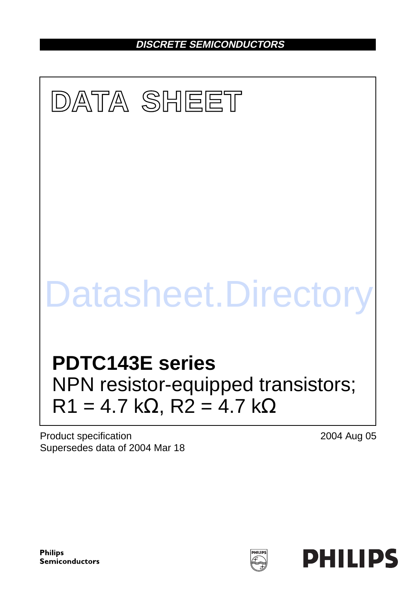**DISCRETE SEMICONDUCTORS**

# **DATA SHEET PDTC143E series** NPN resistor-equipped transistors;  $R1 = 4.7$  kΩ,  $R2 = 4.7$  kΩ Datasheet.Directory

Product specification Supersedes data of 2004 Mar 18 2004 Aug 05

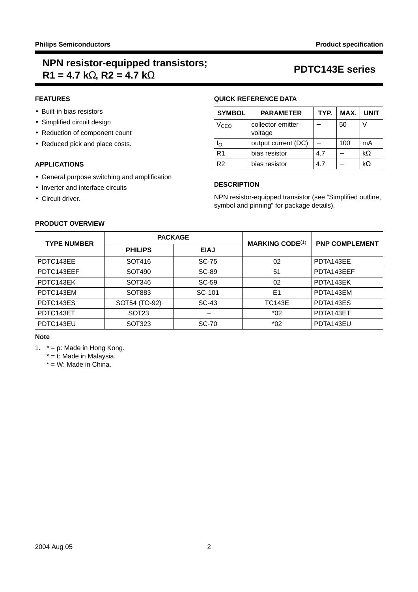# **NPN resistor-equipped transistors; R1 = 4.7 kΩ, R2 = 4.7 kΩ**<br>R1 = 4.7 kΩ, R2 = 4.7 kΩ

## **FEATURES**

- Built-in bias resistors
- Simplified circuit design
- Reduction of component count
- Reduced pick and place costs.

## **APPLICATIONS**

- General purpose switching and amplification
- Inverter and interface circuits
- Circuit driver.

**PRODUCT OVERVIEW**

# **QUICK REFERENCE DATA**

| <b>SYMBOL</b>    | <b>PARAMETER</b>             | TYP. | MAX. | <b>UNIT</b> |
|------------------|------------------------------|------|------|-------------|
| V <sub>CEO</sub> | collector-emitter<br>voltage |      | 50   |             |
| חו               | output current (DC)          |      | 100  | mA          |
| R1               | bias resistor                | 4.7  |      | $k\Omega$   |
| R2               | bias resistor                | 47   |      | kΩ          |

## **DESCRIPTION**

NPN resistor-equipped transistor (see ["Simplified outline,](#page-2-0) [symbol and pinning"](#page-2-0) for package details).

| <b>TYPE NUMBER</b> | <b>PACKAGE</b>    |             |                        | <b>PNP COMPLEMENT</b> |  |
|--------------------|-------------------|-------------|------------------------|-----------------------|--|
|                    | <b>PHILIPS</b>    | <b>EIAJ</b> | <b>MARKING CODE(1)</b> |                       |  |
| PDTC143EE          | SOT416            | SC-75       | 02                     | PDTA143EE             |  |
| PDTC143EEF         | SOT490            | SC-89       | 51                     | PDTA143EEF            |  |
| PDTC143EK          | SOT346            | SC-59       | 02                     | PDTA143EK             |  |
| PDTC143EM          | SOT883            | SC-101      | E <sub>1</sub>         | PDTA143EM             |  |
| PDTC143ES          | SOT54 (TO-92)     | SC-43       | <b>TC143E</b>          | PDTA143ES             |  |
| PDTC143ET          | SOT <sub>23</sub> |             | $*02$                  | PDTA143ET             |  |
| PDTC143EU          | SOT323            | SC-70       | $*02$                  | PDTA143EU             |  |
|                    |                   |             |                        |                       |  |

# **Note**

- <span id="page-1-0"></span>1. \* = p: Made in Hong Kong.
	- \* = t: Made in Malaysia.
	- \* = W: Made in China.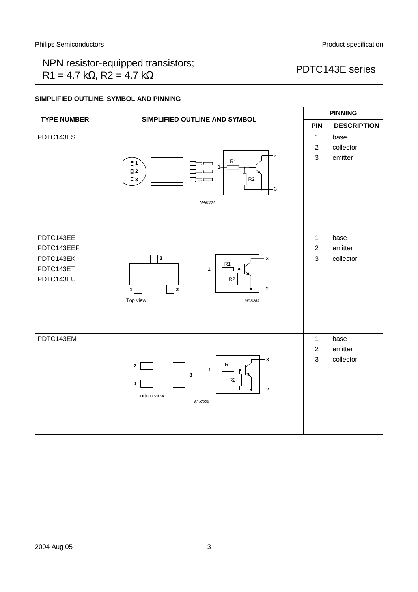# NPN resistor-equipped transistors;  $R1 = 4.7 k\Omega$ ,  $R2 = 4.7 k\Omega$ <br>R1 = 4.7 k $\Omega$ , R2 = 4.7 k $\Omega$

# <span id="page-2-0"></span>**SIMPLIFIED OUTLINE, SYMBOL AND PINNING**

|                                                                | SIMPLIFIED OUTLINE AND SYMBOL                                                                                                    |                                                | <b>PINNING</b>               |  |  |
|----------------------------------------------------------------|----------------------------------------------------------------------------------------------------------------------------------|------------------------------------------------|------------------------------|--|--|
| <b>TYPE NUMBER</b>                                             |                                                                                                                                  |                                                | <b>DESCRIPTION</b>           |  |  |
| PDTC143ES                                                      | $-2$<br>R1<br>日1<br>1<br>$\square$ 2<br>R <sub>2</sub><br>$\square$ 3<br>3<br>MAM364                                             | $\mathbf{1}$<br>$\sqrt{2}$<br>$\mathbf{3}$     | base<br>collector<br>emitter |  |  |
| PDTC143EE<br>PDTC143EEF<br>PDTC143EK<br>PDTC143ET<br>PDTC143EU | $\mathbf 3$<br>3<br>R1<br>$1 -$<br>$\mathsf{R}2$<br>$\mathbf 2$<br>2<br>$\mathbf 1$<br>Top view<br>MDB269                        | $\mathbf{1}$<br>$\overline{2}$<br>$\mathbf{3}$ | base<br>emitter<br>collector |  |  |
| PDTC143EM                                                      | 3<br>R <sub>1</sub><br>$\mathbf 2$<br>1<br>$\mathbf{3}$<br>R <sub>2</sub><br>1<br>$\overline{2}$<br>bottom view<br><b>MHC506</b> | $\mathbf{1}$<br>$\overline{2}$<br>$\mathbf{3}$ | base<br>emitter<br>collector |  |  |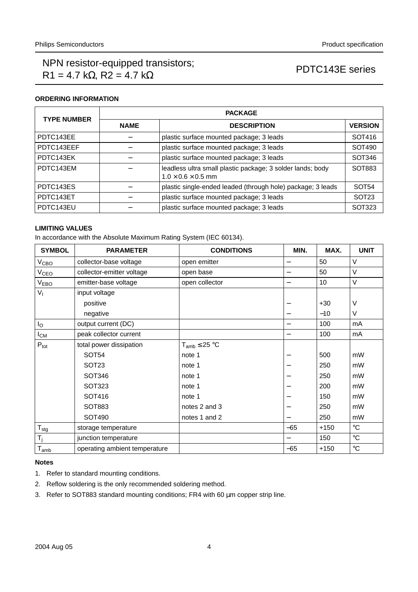## **ORDERING INFORMATION**

| <b>TYPE NUMBER</b> | <b>PACKAGE</b>                           |                                                                                              |                   |  |  |
|--------------------|------------------------------------------|----------------------------------------------------------------------------------------------|-------------------|--|--|
|                    | <b>NAME</b>                              | <b>DESCRIPTION</b>                                                                           | <b>VERSION</b>    |  |  |
| PDTC143EE          |                                          | plastic surface mounted package; 3 leads                                                     | SOT416            |  |  |
| PDTC143EEF         | plastic surface mounted package; 3 leads |                                                                                              | SOT490            |  |  |
| PDTC143EK          | plastic surface mounted package; 3 leads |                                                                                              | SOT346            |  |  |
| PDTC143EM          |                                          | leadless ultra small plastic package; 3 solder lands; body<br>$1.0 \times 0.6 \times 0.5$ mm | SOT883            |  |  |
| PDTC143ES          |                                          | plastic single-ended leaded (through hole) package; 3 leads                                  | SOT <sub>54</sub> |  |  |
| PDTC143ET          |                                          | plastic surface mounted package; 3 leads                                                     | SOT <sub>23</sub> |  |  |
| PDTC143EU          |                                          | plastic surface mounted package; 3 leads                                                     | SOT323            |  |  |

# **LIMITING VALUES**

In accordance with the Absolute Maximum Rating System (IEC 60134).

| <b>SYMBOL</b>    | <b>PARAMETER</b>              | <b>CONDITIONS</b>    | MIN.  | MAX.   | <b>UNIT</b>       |
|------------------|-------------------------------|----------------------|-------|--------|-------------------|
| V <sub>CBO</sub> | collector-base voltage        | open emitter         |       | 50     | $\vee$            |
| $V_{\text{CEO}}$ | collector-emitter voltage     | open base            | —     | 50     | $\vee$            |
| V <sub>EBO</sub> | emitter-base voltage          | open collector       | —     | 10     | V                 |
| V <sub>1</sub>   | input voltage                 |                      |       |        |                   |
|                  | positive                      |                      |       | $+30$  | V                 |
|                  | negative                      |                      |       | $-10$  | ٧                 |
| $I_{\rm O}$      | output current (DC)           |                      | —     | 100    | mA                |
| $I_{CM}$         | peak collector current        |                      | —     | 100    | mA                |
| $P_{\text{tot}}$ | total power dissipation       | $T_{amb} \leq 25 °C$ |       |        |                   |
|                  | <b>SOT54</b>                  | note 1               |       | 500    | mW                |
|                  | SOT <sub>23</sub>             | note 1               |       | 250    | mW                |
|                  | SOT346                        | note 1               |       | 250    | mW                |
|                  | SOT323                        | note 1               |       | 200    | mW                |
|                  | SOT416                        | note 1               |       | 150    | mW                |
|                  | SOT883                        | notes 2 and 3        |       | 250    | mW                |
|                  | SOT490                        | notes 1 and 2        |       | 250    | mW                |
| $T_{\text{sig}}$ | storage temperature           |                      | $-65$ | $+150$ | $^{\circ}{\rm C}$ |
| $T_j$            | junction temperature          |                      |       | 150    | $^{\circ}{\rm C}$ |
| $T_{amb}$        | operating ambient temperature |                      | -65   | $+150$ | $^\circ \text{C}$ |

## **Notes**

- <span id="page-3-0"></span>1. Refer to standard mounting conditions.
- <span id="page-3-1"></span>2. Reflow soldering is the only recommended soldering method.
- <span id="page-3-2"></span>3. Refer to SOT883 standard mounting conditions; FR4 with 60 µm copper strip line.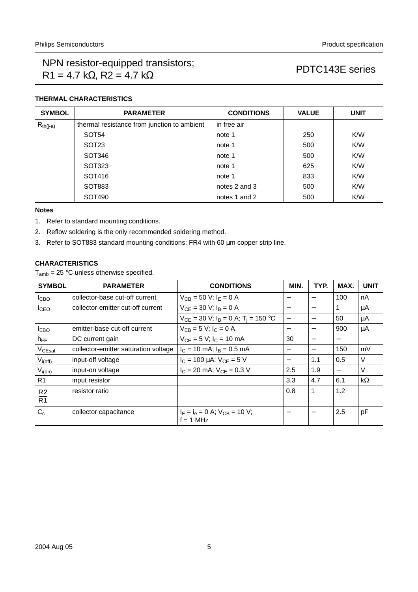# **THERMAL CHARACTERISTICS**

| <b>SYMBOL</b> | <b>PARAMETER</b>                            | <b>CONDITIONS</b> | <b>VALUE</b> | <b>UNIT</b> |
|---------------|---------------------------------------------|-------------------|--------------|-------------|
| $R_{th(j-a)}$ | thermal resistance from junction to ambient | in free air       |              |             |
|               | SOT <sub>54</sub>                           | note 1            | 250          | K/W         |
|               | SOT <sub>23</sub>                           | note 1            | 500          | K/W         |
|               | SOT346                                      | note 1            | 500          | K/W         |
|               | SOT323                                      | note 1            | 625          | K/W         |
|               | SOT416                                      | note 1            | 833          | K/W         |
|               | SOT883                                      | notes 2 and 3     | 500          | K/W         |
|               | SOT490                                      | notes 1 and 2     | 500          | K/W         |

## **Notes**

- <span id="page-4-0"></span>1. Refer to standard mounting conditions.
- <span id="page-4-1"></span>2. Reflow soldering is the only recommended soldering method.
- <span id="page-4-2"></span>3. Refer to SOT883 standard mounting conditions; FR4 with 60 µm copper strip line.

## **CHARACTERISTICS**

 $T_{amb}$  = 25 °C unless otherwise specified.

| <b>SYMBOL</b>      | <b>PARAMETER</b>                     | <b>CONDITIONS</b>                                     | MIN.                     | TYP.                     | MAX. | <b>UNIT</b> |
|--------------------|--------------------------------------|-------------------------------------------------------|--------------------------|--------------------------|------|-------------|
| I <sub>CBO</sub>   | collector-base cut-off current       | $V_{CB} = 50$ V; $I_E = 0$ A                          | —                        |                          | 100  | nA          |
| I <sub>CEO</sub>   | collector-emitter cut-off current    | $V_{CE}$ = 30 V; $I_B$ = 0 A                          |                          |                          | 1    | μA          |
|                    |                                      | $V_{CE}$ = 30 V; $I_B$ = 0 A; T <sub>i</sub> = 150 °C | $\overline{\phantom{0}}$ | $\overline{\phantom{0}}$ | 50   | $\mu$ A     |
| <b>LEBO</b>        | emitter-base cut-off current         | $V_{FB} = 5 V$ ; $I_C = 0 A$                          | $\overline{\phantom{0}}$ |                          | 900  | μA          |
| $h_{FE}$           | DC current gain                      | $V_{CE} = 5 V$ ; $I_C = 10$ mA                        | 30                       |                          |      |             |
| V <sub>CEsat</sub> | collector-emitter saturation voltage | $I_C = 10$ mA; $I_B = 0.5$ mA                         | $\overline{\phantom{m}}$ |                          | 150  | mV          |
| $V_{i(off)}$       | input-off voltage                    | $I_C = 100 \mu A$ ; $V_{CE} = 5 V$                    | $\overline{\phantom{m}}$ | 1.1                      | 0.5  | V           |
| $V_{i(0n)}$        | input-on voltage                     | $I_C = 20$ mA; $V_{CE} = 0.3$ V                       | 2.5                      | 1.9                      |      | V           |
| R <sub>1</sub>     | input resistor                       |                                                       | 3.3                      | 4.7                      | 6.1  | $k\Omega$   |
| R <sub>2</sub>     | resistor ratio                       |                                                       | 0.8                      | 1                        | 1.2  |             |
| $\overline{R1}$    |                                      |                                                       |                          |                          |      |             |
| $C_c$              | collector capacitance                | $IE = Ie = 0$ A; $VCB = 10$ V;<br>$f = 1$ MHz         |                          |                          | 2.5  | pF          |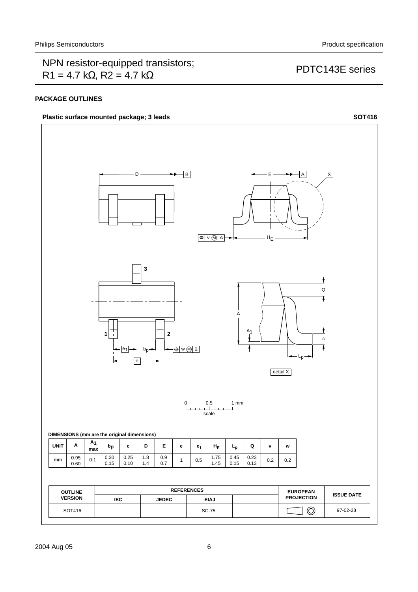## **PACKAGE OUTLINES**

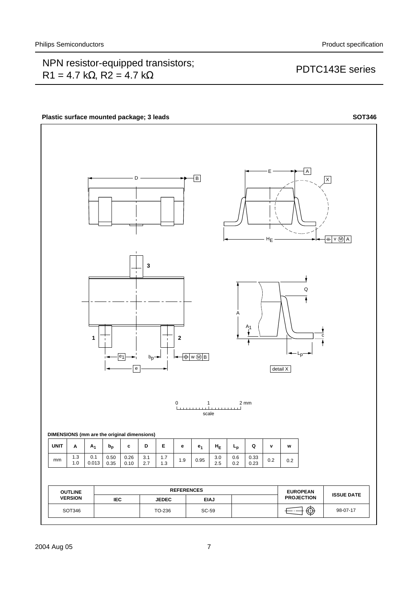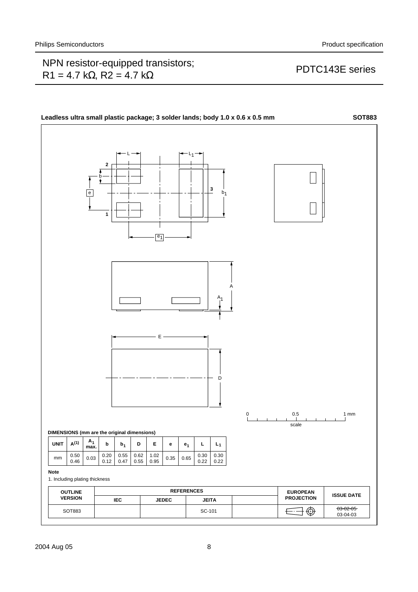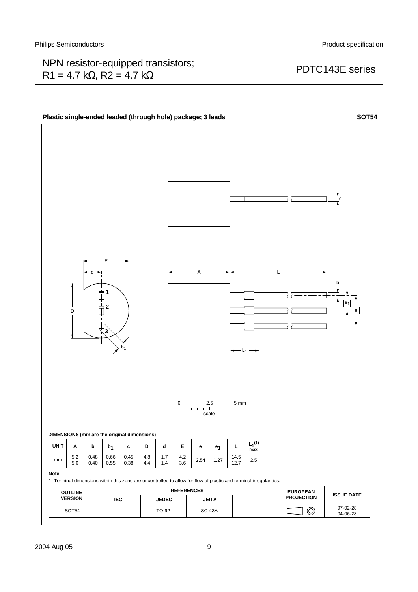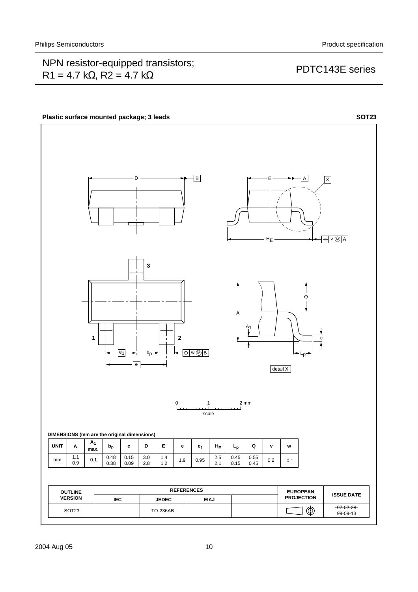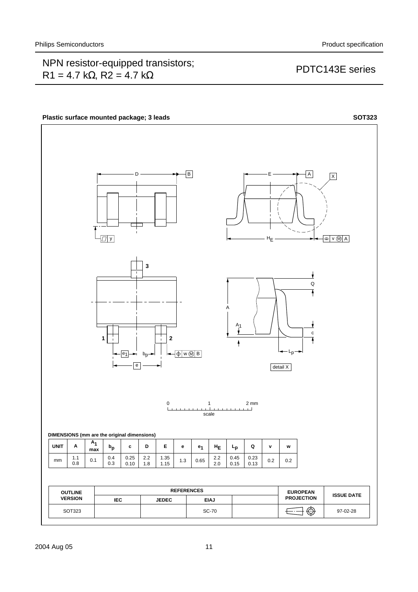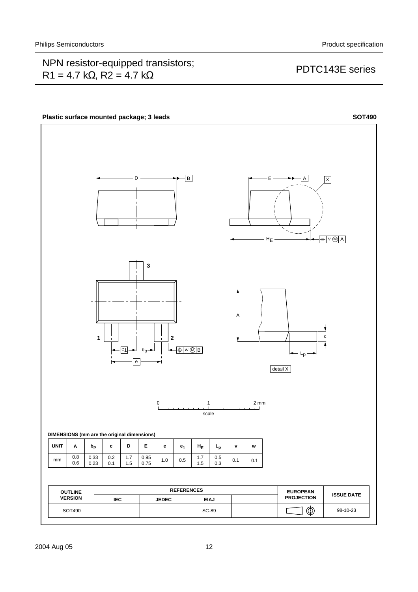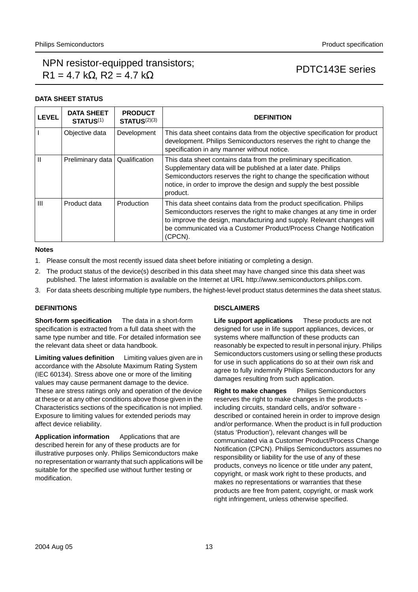## **DATA SHEET STATUS**

| <b>LEVEL</b>   | <b>DATA SHEET</b><br><b>STATUS(1)</b> | <b>PRODUCT</b><br>STATUS <sup>(2)(3)</sup> | <b>DEFINITION</b>                                                                                                                                                                                                                                                                                          |
|----------------|---------------------------------------|--------------------------------------------|------------------------------------------------------------------------------------------------------------------------------------------------------------------------------------------------------------------------------------------------------------------------------------------------------------|
|                | Objective data                        | Development                                | This data sheet contains data from the objective specification for product<br>development. Philips Semiconductors reserves the right to change the<br>specification in any manner without notice.                                                                                                          |
| $\mathbf{H}$   | Preliminary data                      | Qualification                              | This data sheet contains data from the preliminary specification.<br>Supplementary data will be published at a later date. Philips<br>Semiconductors reserves the right to change the specification without<br>notice, in order to improve the design and supply the best possible<br>product.             |
| $\mathbf{III}$ | Product data                          | Production                                 | This data sheet contains data from the product specification. Philips<br>Semiconductors reserves the right to make changes at any time in order<br>to improve the design, manufacturing and supply. Relevant changes will<br>be communicated via a Customer Product/Process Change Notification<br>(CPCN). |

### **Notes**

- <span id="page-12-0"></span>1. Please consult the most recently issued data sheet before initiating or completing a design.
- <span id="page-12-1"></span>2. The product status of the device(s) described in this data sheet may have changed since this data sheet was published. The latest information is available on the Internet at URL http://www.semiconductors.philips.com.
- <span id="page-12-2"></span>3. For data sheets describing multiple type numbers, the highest-level product status determines the data sheet status.

## **DEFINITIONS**

**Short-form specification** — The data in a short-form specification is extracted from a full data sheet with the same type number and title. For detailed information see the relevant data sheet or data handbook.

**Limiting values definition** - Limiting values given are in accordance with the Absolute Maximum Rating System (IEC 60134). Stress above one or more of the limiting values may cause permanent damage to the device. These are stress ratings only and operation of the device at these or at any other conditions above those given in the Characteristics sections of the specification is not implied. Exposure to limiting values for extended periods may affect device reliability.

**Application information** — Applications that are described herein for any of these products are for illustrative purposes only. Philips Semiconductors make no representation or warranty that such applications will be suitable for the specified use without further testing or modification.

## **DISCLAIMERS**

**Life support applications** - These products are not designed for use in life support appliances, devices, or systems where malfunction of these products can reasonably be expected to result in personal injury. Philips Semiconductors customers using or selling these products for use in such applications do so at their own risk and agree to fully indemnify Philips Semiconductors for any damages resulting from such application.

**Right to make changes** - Philips Semiconductors reserves the right to make changes in the products including circuits, standard cells, and/or software described or contained herein in order to improve design and/or performance. When the product is in full production (status 'Production'), relevant changes will be communicated via a Customer Product/Process Change Notification (CPCN). Philips Semiconductors assumes no responsibility or liability for the use of any of these products, conveys no licence or title under any patent, copyright, or mask work right to these products, and makes no representations or warranties that these products are free from patent, copyright, or mask work right infringement, unless otherwise specified.